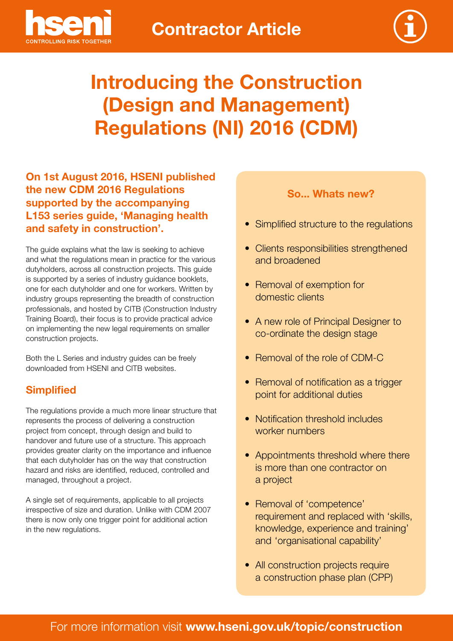



# **Introducing the Construction (Design and Management) Regulations (NI) 2016 (CDM)**

**On 1st August 2016, HSENI published the new CDM 2016 Regulations supported by the accompanying L153 series guide, 'Managing health and safety in construction'.** 

The guide explains what the law is seeking to achieve and what the regulations mean in practice for the various dutyholders, across all construction projects. This guide is supported by a series of industry guidance booklets, one for each dutyholder and one for workers. Written by industry groups representing the breadth of construction professionals, and hosted by CITB (Construction Industry Training Board), their focus is to provide practical advice on implementing the new legal requirements on smaller construction projects.

Both the L Series and industry guides can be freely downloaded from HSENI and CITB websites.

## **Simplified**

The regulations provide a much more linear structure that represents the process of delivering a construction project from concept, through design and build to handover and future use of a structure. This approach provides greater clarity on the importance and influence that each dutyholder has on the way that construction hazard and risks are identified, reduced, controlled and managed, throughout a project.

A single set of requirements, applicable to all projects irrespective of size and duration. Unlike with CDM 2007 there is now only one trigger point for additional action in the new regulations.

#### **So... Whats new?**

- Simplified structure to the regulations
- Clients responsibilities strengthened and broadened
- Removal of exemption for domestic clients
- A new role of Principal Designer to co-ordinate the design stage
- Removal of the role of CDM-C
- Removal of notification as a trigger point for additional duties
- Notification threshold includes worker numbers
- • Appointments threshold where there is more than one contractor on a project
- Removal of 'competence' requirement and replaced with 'skills, knowledge, experience and training' and 'organisational capability'
- All construction projects require a construction phase plan (CPP)

# For more information visit **www.hseni.gov.uk/topic/construction**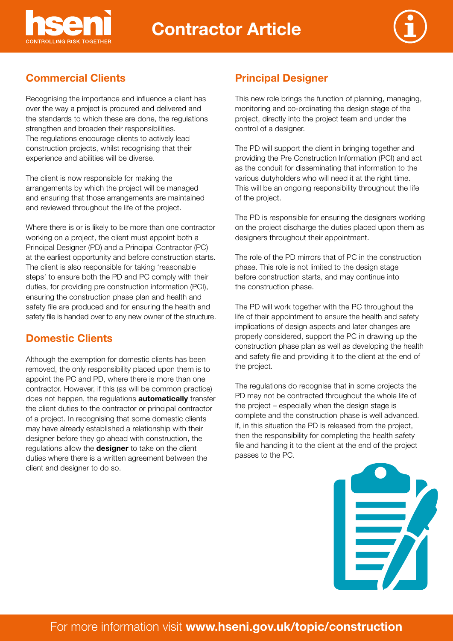

# **Contractor Article**



# **Commercial Clients Principal Designer**

Recognising the importance and influence a client has over the way a project is procured and delivered and the standards to which these are done, the regulations strengthen and broaden their responsibilities. The regulations encourage clients to actively lead construction projects, whilst recognising that their experience and abilities will be diverse.

The client is now responsible for making the arrangements by which the project will be managed and ensuring that those arrangements are maintained and reviewed throughout the life of the project.

Where there is or is likely to be more than one contractor working on a project, the client must appoint both a Principal Designer (PD) and a Principal Contractor (PC) at the earliest opportunity and before construction starts. The client is also responsible for taking 'reasonable steps' to ensure both the PD and PC comply with their duties, for providing pre construction information (PCI), ensuring the construction phase plan and health and safety file are produced and for ensuring the health and safety file is handed over to any new owner of the structure.

### **Domestic Clients**

Although the exemption for domestic clients has been removed, the only responsibility placed upon them is to appoint the PC and PD, where there is more than one contractor. However, if this (as will be common practice) does not happen, the regulations **automatically** transfer the client duties to the contractor or principal contractor of a project. In recognising that some domestic clients may have already established a relationship with their designer before they go ahead with construction, the regulations allow the **designer** to take on the client duties where there is a written agreement between the client and designer to do so.

This new role brings the function of planning, managing, monitoring and co-ordinating the design stage of the project, directly into the project team and under the control of a designer.

The PD will support the client in bringing together and providing the Pre Construction Information (PCI) and act as the conduit for disseminating that information to the various dutyholders who will need it at the right time. This will be an ongoing responsibility throughout the life of the project.

The PD is responsible for ensuring the designers working on the project discharge the duties placed upon them as designers throughout their appointment.

The role of the PD mirrors that of PC in the construction phase. This role is not limited to the design stage before construction starts, and may continue into the construction phase.

The PD will work together with the PC throughout the life of their appointment to ensure the health and safety implications of design aspects and later changes are properly considered, support the PC in drawing up the construction phase plan as well as developing the health and safety file and providing it to the client at the end of the project.

The regulations do recognise that in some projects the PD may not be contracted throughout the whole life of the project – especially when the design stage is complete and the construction phase is well advanced. If, in this situation the PD is released from the project, then the responsibility for completing the health safety file and handing it to the client at the end of the project passes to the PC.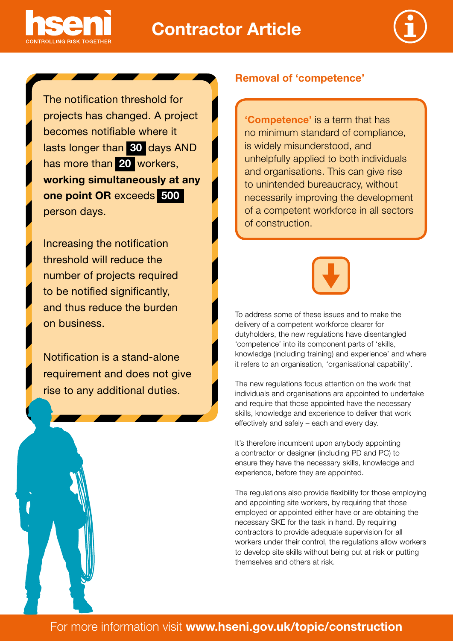

# **Contractor Article**



 has more than **20** workers, **one point OR** exceeds **500**  The notification threshold for projects has changed. A project becomes notifiable where it lasts longer than **30** days AND **working simultaneously at any**  person days.

Increasing the notification threshold will reduce the number of projects required to be notified significantly, and thus reduce the burden on business.

Notification is a stand-alone requirement and does not give rise to any additional duties.

#### **Removal of 'competence'**

**'Competence'** is a term that has no minimum standard of compliance, is widely misunderstood, and unhelpfully applied to both individuals and organisations. This can give rise to unintended bureaucracy, without necessarily improving the development of a competent workforce in all sectors of construction.



To address some of these issues and to make the delivery of a competent workforce clearer for dutyholders, the new regulations have disentangled 'competence' into its component parts of 'skills, knowledge (including training) and experience' and where it refers to an organisation, 'organisational capability'.

The new regulations focus attention on the work that individuals and organisations are appointed to undertake and require that those appointed have the necessary skills, knowledge and experience to deliver that work effectively and safely – each and every day.

It's therefore incumbent upon anybody appointing a contractor or designer (including PD and PC) to ensure they have the necessary skills, knowledge and experience, before they are appointed.

The regulations also provide flexibility for those employing and appointing site workers, by requiring that those employed or appointed either have or are obtaining the necessary SKE for the task in hand. By requiring contractors to provide adequate supervision for all workers under their control, the regulations allow workers to develop site skills without being put at risk or putting themselves and others at risk.

# For more information visit **www.hseni.gov.uk/topic/construction**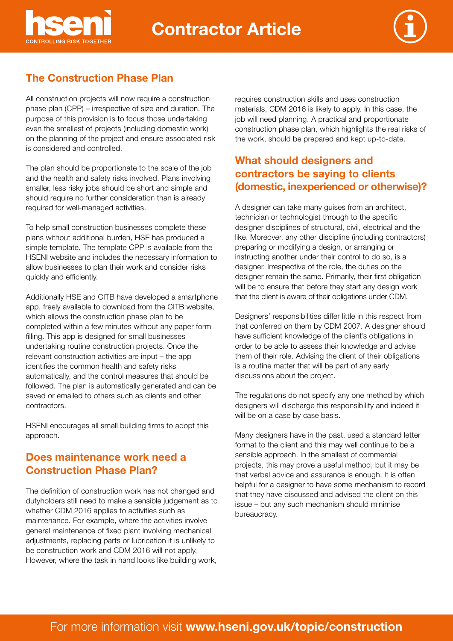



## **The Construction Phase Plan**

All construction projects will now require a construction phase plan (CPP) – irrespective of size and duration. The purpose of this provision is to focus those undertaking even the smallest of projects (including domestic work) on the planning of the project and ensure associated risk is considered and controlled.

The plan should be proportionate to the scale of the job and the health and safety risks involved. Plans involving smaller, less risky jobs should be short and simple and should require no further consideration than is already required for well-managed activities.

To help small construction businesses complete these plans without additional burden, HSE has produced a simple template. The template CPP is available from the HSENI website and includes the necessary information to allow businesses to plan their work and consider risks quickly and efficiently.

Additionally HSE and CITB have developed a smartphone app, freely available to download from the CITB website, which allows the construction phase plan to be completed within a few minutes without any paper form filling. This app is designed for small businesses undertaking routine construction projects. Once the relevant construction activities are input – the app identifies the common health and safety risks automatically, and the control measures that should be followed. The plan is automatically generated and can be saved or emailed to others such as clients and other contractors.

HSENI encourages all small building firms to adopt this approach.

### **Does maintenance work need a Construction Phase Plan?**

The definition of construction work has not changed and dutyholders still need to make a sensible judgement as to whether CDM 2016 applies to activities such as maintenance. For example, where the activities involve general maintenance of fixed plant involving mechanical adjustments, replacing parts or lubrication it is unlikely to be construction work and CDM 2016 will not apply. However, where the task in hand looks like building work,

requires construction skills and uses construction materials, CDM 2016 is likely to apply. In this case, the job will need planning. A practical and proportionate construction phase plan, which highlights the real risks of the work, should be prepared and kept up-to-date.

## **What should designers and contractors be saying to clients (domestic, inexperienced or otherwise)?**

A designer can take many guises from an architect, technician or technologist through to the specific designer disciplines of structural, civil, electrical and the like. Moreover, any other discipline (including contractors) preparing or modifying a design, or arranging or instructing another under their control to do so, is a designer. Irrespective of the role, the duties on the designer remain the same. Primarily, their first obligation will be to ensure that before they start any design work that the client is aware of their obligations under CDM.

Designers' responsibilities differ little in this respect from that conferred on them by CDM 2007. A designer should have sufficient knowledge of the client's obligations in order to be able to assess their knowledge and advise them of their role. Advising the client of their obligations is a routine matter that will be part of any early discussions about the project.

The regulations do not specify any one method by which designers will discharge this responsibility and indeed it will be on a case by case basis.

Many designers have in the past, used a standard letter format to the client and this may well continue to be a sensible approach. In the smallest of commercial projects, this may prove a useful method, but it may be that verbal advice and assurance is enough. It is often helpful for a designer to have some mechanism to record that they have discussed and advised the client on this issue – but any such mechanism should minimise bureaucracy.